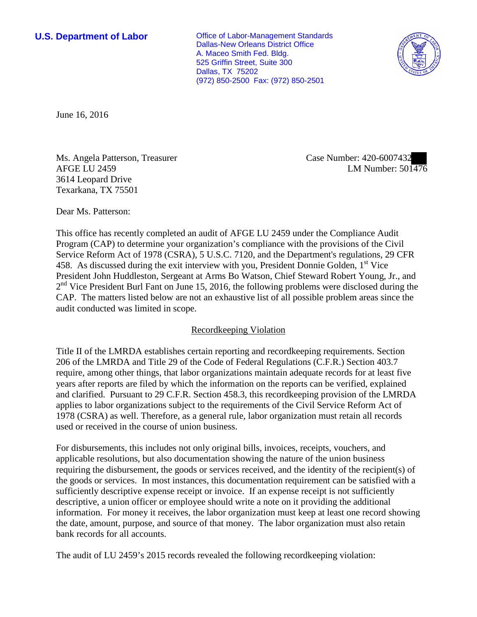**U.S. Department of Labor Conservative Conservative Conservative Conservative Conservative Conservative Conservative Conservative Conservative Conservative Conservative Conservative Conservative Conservative Conservative** Dallas-New Orleans District Office A. Maceo Smith Fed. Bldg. 525 Griffin Street, Suite 300 Dallas, TX 75202 (972) 850-2500 Fax: (972) 850-2501



June 16, 2016

Ms. Angela Patterson, Treasurer AFGE LU 2459 3614 Leopard Drive Texarkana, TX 75501

Case Number: 420-6007432 LM Number: 501476

Dear Ms. Patterson:

This office has recently completed an audit of AFGE LU 2459 under the Compliance Audit Program (CAP) to determine your organization's compliance with the provisions of the Civil Service Reform Act of 1978 (CSRA), 5 U.S.C. 7120, and the Department's regulations, 29 CFR 458. As discussed during the exit interview with you, President Donnie Golden,  $1<sup>st</sup>$  Vice President John Huddleston, Sergeant at Arms Bo Watson, Chief Steward Robert Young, Jr., and  $2<sup>nd</sup>$  Vice President Burl Fant on June 15, 2016, the following problems were disclosed during the CAP. The matters listed below are not an exhaustive list of all possible problem areas since the audit conducted was limited in scope.

## Recordkeeping Violation

Title II of the LMRDA establishes certain reporting and recordkeeping requirements. Section 206 of the LMRDA and Title 29 of the Code of Federal Regulations (C.F.R.) Section 403.7 require, among other things, that labor organizations maintain adequate records for at least five years after reports are filed by which the information on the reports can be verified, explained and clarified. Pursuant to 29 C.F.R. Section 458.3, this recordkeeping provision of the LMRDA applies to labor organizations subject to the requirements of the Civil Service Reform Act of 1978 (CSRA) as well. Therefore, as a general rule, labor organization must retain all records used or received in the course of union business.

For disbursements, this includes not only original bills, invoices, receipts, vouchers, and applicable resolutions, but also documentation showing the nature of the union business requiring the disbursement, the goods or services received, and the identity of the recipient(s) of the goods or services. In most instances, this documentation requirement can be satisfied with a sufficiently descriptive expense receipt or invoice. If an expense receipt is not sufficiently descriptive, a union officer or employee should write a note on it providing the additional information. For money it receives, the labor organization must keep at least one record showing the date, amount, purpose, and source of that money. The labor organization must also retain bank records for all accounts.

The audit of LU 2459's 2015 records revealed the following recordkeeping violation: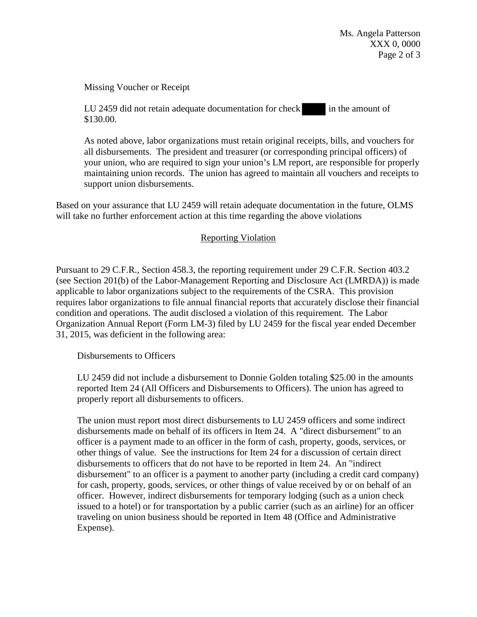Ms. Angela Patterson XXX 0, 0000 Page 2 of 3

Missing Voucher or Receipt

LU 2459 did not retain adequate documentation for check in the amount of \$130.00.

As noted above, labor organizations must retain original receipts, bills, and vouchers for all disbursements. The president and treasurer (or corresponding principal officers) of your union, who are required to sign your union's LM report, are responsible for properly maintaining union records. The union has agreed to maintain all vouchers and receipts to support union disbursements.

Based on your assurance that LU 2459 will retain adequate documentation in the future, OLMS will take no further enforcement action at this time regarding the above violations

## Reporting Violation

Pursuant to 29 C.F.R., Section 458.3, the reporting requirement under 29 C.F.R. Section 403.2 (see Section 201(b) of the Labor-Management Reporting and Disclosure Act (LMRDA)) is made applicable to labor organizations subject to the requirements of the CSRA. This provision requires labor organizations to file annual financial reports that accurately disclose their financial condition and operations. The audit disclosed a violation of this requirement. The Labor Organization Annual Report (Form LM-3) filed by LU 2459 for the fiscal year ended December 31, 2015, was deficient in the following area:

Disbursements to Officers

LU 2459 did not include a disbursement to Donnie Golden totaling \$25.00 in the amounts reported Item 24 (All Officers and Disbursements to Officers). The union has agreed to properly report all disbursements to officers.

The union must report most direct disbursements to LU 2459 officers and some indirect disbursements made on behalf of its officers in Item 24. A "direct disbursement" to an officer is a payment made to an officer in the form of cash, property, goods, services, or other things of value. See the instructions for Item 24 for a discussion of certain direct disbursements to officers that do not have to be reported in Item 24. An "indirect disbursement" to an officer is a payment to another party (including a credit card company) for cash, property, goods, services, or other things of value received by or on behalf of an officer. However, indirect disbursements for temporary lodging (such as a union check issued to a hotel) or for transportation by a public carrier (such as an airline) for an officer traveling on union business should be reported in Item 48 (Office and Administrative Expense).